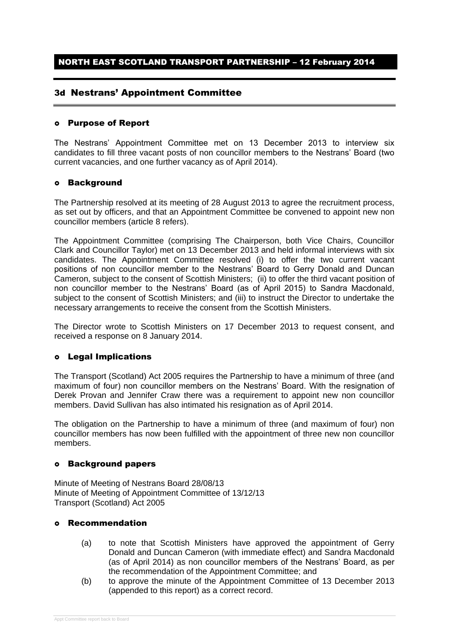### NORTH EAST SCOTLAND TRANSPORT PARTNERSHIP – 12 February 2014

### 3d Nestrans' Appointment Committee

#### Purpose of Report

The Nestrans' Appointment Committee met on 13 December 2013 to interview six candidates to fill three vacant posts of non councillor members to the Nestrans' Board (two current vacancies, and one further vacancy as of April 2014).

#### Background

The Partnership resolved at its meeting of 28 August 2013 to agree the recruitment process, as set out by officers, and that an Appointment Committee be convened to appoint new non councillor members (article 8 refers).

The Appointment Committee (comprising The Chairperson, both Vice Chairs, Councillor Clark and Councillor Taylor) met on 13 December 2013 and held informal interviews with six candidates. The Appointment Committee resolved (i) to offer the two current vacant positions of non councillor member to the Nestrans' Board to Gerry Donald and Duncan Cameron, subject to the consent of Scottish Ministers; (ii) to offer the third vacant position of non councillor member to the Nestrans' Board (as of April 2015) to Sandra Macdonald, subject to the consent of Scottish Ministers; and (iii) to instruct the Director to undertake the necessary arrangements to receive the consent from the Scottish Ministers.

The Director wrote to Scottish Ministers on 17 December 2013 to request consent, and received a response on 8 January 2014.

#### Legal Implications

The Transport (Scotland) Act 2005 requires the Partnership to have a minimum of three (and maximum of four) non councillor members on the Nestrans' Board. With the resignation of Derek Provan and Jennifer Craw there was a requirement to appoint new non councillor members. David Sullivan has also intimated his resignation as of April 2014.

The obligation on the Partnership to have a minimum of three (and maximum of four) non councillor members has now been fulfilled with the appointment of three new non councillor members.

#### Background papers

Minute of Meeting of Nestrans Board 28/08/13 Minute of Meeting of Appointment Committee of 13/12/13 Transport (Scotland) Act 2005

#### Recommendation

- (a) to note that Scottish Ministers have approved the appointment of Gerry Donald and Duncan Cameron (with immediate effect) and Sandra Macdonald (as of April 2014) as non councillor members of the Nestrans' Board, as per the recommendation of the Appointment Committee; and
- (b) to approve the minute of the Appointment Committee of 13 December 2013 (appended to this report) as a correct record.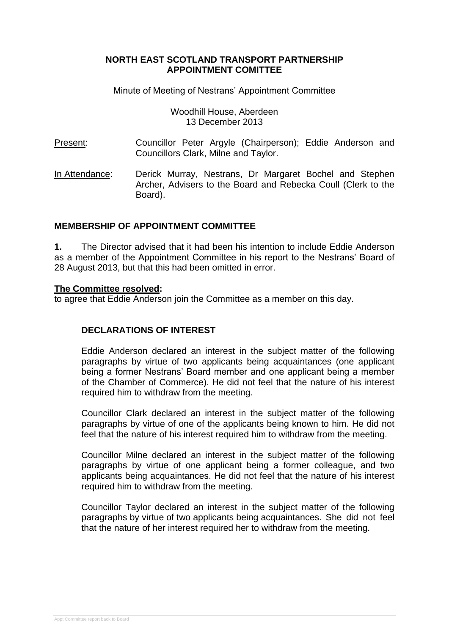### **NORTH EAST SCOTLAND TRANSPORT PARTNERSHIP APPOINTMENT COMITTEE**

Minute of Meeting of Nestrans' Appointment Committee

Woodhill House, Aberdeen 13 December 2013

Present: Councillor Peter Argyle (Chairperson); Eddie Anderson and Councillors Clark, Milne and Taylor.

In Attendance: Derick Murray, Nestrans, Dr Margaret Bochel and Stephen Archer, Advisers to the Board and Rebecka Coull (Clerk to the Board).

## **MEMBERSHIP OF APPOINTMENT COMMITTEE**

**1.** The Director advised that it had been his intention to include Eddie Anderson as a member of the Appointment Committee in his report to the Nestrans' Board of 28 August 2013, but that this had been omitted in error.

#### **The Committee resolved:**

to agree that Eddie Anderson join the Committee as a member on this day.

## **DECLARATIONS OF INTEREST**

Eddie Anderson declared an interest in the subject matter of the following paragraphs by virtue of two applicants being acquaintances (one applicant being a former Nestrans' Board member and one applicant being a member of the Chamber of Commerce). He did not feel that the nature of his interest required him to withdraw from the meeting.

Councillor Clark declared an interest in the subject matter of the following paragraphs by virtue of one of the applicants being known to him. He did not feel that the nature of his interest required him to withdraw from the meeting.

Councillor Milne declared an interest in the subject matter of the following paragraphs by virtue of one applicant being a former colleague, and two applicants being acquaintances. He did not feel that the nature of his interest required him to withdraw from the meeting.

Councillor Taylor declared an interest in the subject matter of the following paragraphs by virtue of two applicants being acquaintances. She did not feel that the nature of her interest required her to withdraw from the meeting.